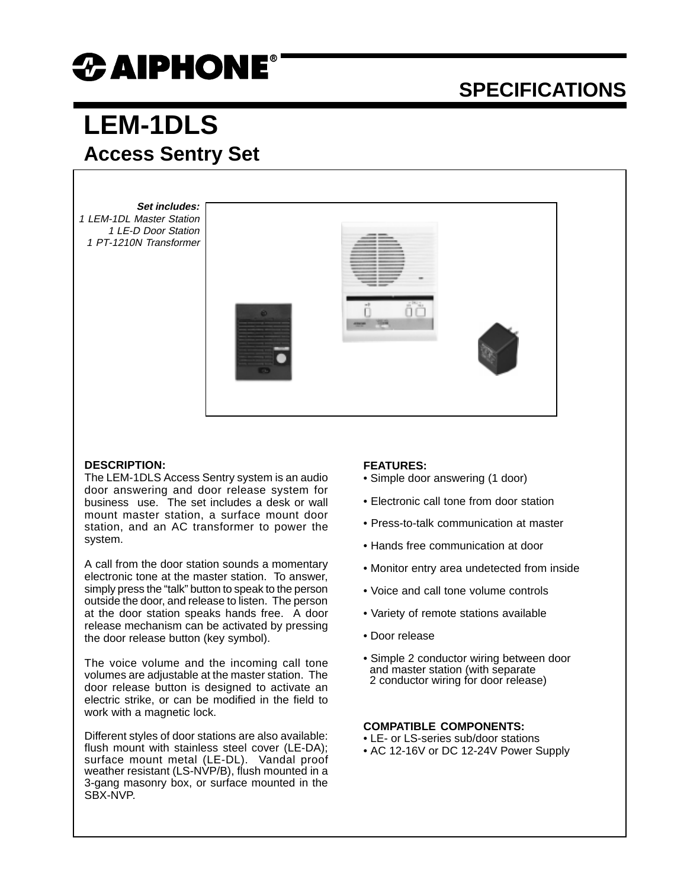# $\boldsymbol{x}$  aiphone®

### **SPECIFICATIONS**

## **LEM-1DLS Access Sentry Set**

**Set includes:** 1 LEM-1DL Master Station 1 LE-D Door Station 1 PT-1210N Transformer



#### **DESCRIPTION:**

The LEM-1DLS Access Sentry system is an audio door answering and door release system for business use. The set includes a desk or wall mount master station, a surface mount door station, and an AC transformer to power the system.

A call from the door station sounds a momentary electronic tone at the master station. To answer, simply press the "talk" button to speak to the person outside the door, and release to listen. The person at the door station speaks hands free. A door release mechanism can be activated by pressing the door release button (key symbol).

The voice volume and the incoming call tone volumes are adjustable at the master station. The door release button is designed to activate an electric strike, or can be modified in the field to work with a magnetic lock.

Different styles of door stations are also available: flush mount with stainless steel cover (LE-DA); surface mount metal (LE-DL). Vandal proof weather resistant (LS-NVP/B), flush mounted in a 3-gang masonry box, or surface mounted in the SBX-NVP.

#### **FEATURES:**

- Simple door answering (1 door)
- Electronic call tone from door station
- Press-to-talk communication at master
- Hands free communication at door
- Monitor entry area undetected from inside
- Voice and call tone volume controls
- Variety of remote stations available
- Door release
- Simple 2 conductor wiring between door and master station (with separate 2 conductor wiring for door release)

#### **COMPATIBLE COMPONENTS:**

- LE- or LS-series sub/door stations
- AC 12-16V or DC 12-24V Power Supply